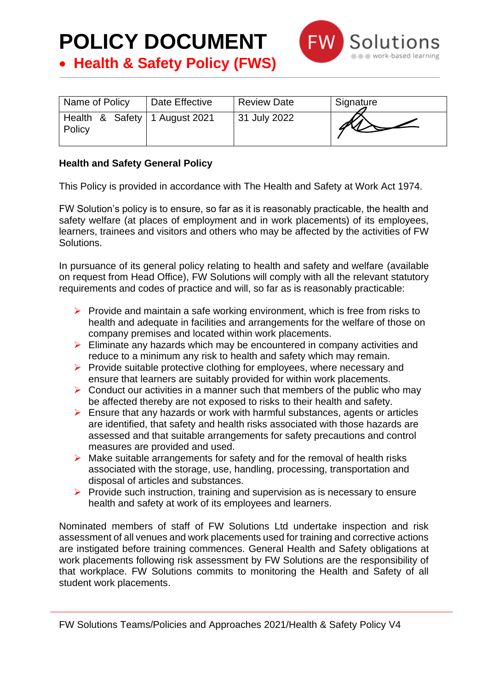

| Name of Policy                            | Date Effective | <b>Review Date</b> | Signature |
|-------------------------------------------|----------------|--------------------|-----------|
| Health & Safety   1 August 2021<br>Policy |                | 31 July 2022       |           |

#### **Health and Safety General Policy**

This Policy is provided in accordance with The Health and Safety at Work Act 1974.

FW Solution's policy is to ensure, so far as it is reasonably practicable, the health and safety welfare (at places of employment and in work placements) of its employees, learners, trainees and visitors and others who may be affected by the activities of FW Solutions.

In pursuance of its general policy relating to health and safety and welfare (available on request from Head Office), FW Solutions will comply with all the relevant statutory requirements and codes of practice and will, so far as is reasonably practicable:

- ➢ Provide and maintain a safe working environment, which is free from risks to health and adequate in facilities and arrangements for the welfare of those on company premises and located within work placements.
- ➢ Eliminate any hazards which may be encountered in company activities and reduce to a minimum any risk to health and safety which may remain.
- ➢ Provide suitable protective clothing for employees, where necessary and ensure that learners are suitably provided for within work placements.
- $\triangleright$  Conduct our activities in a manner such that members of the public who may be affected thereby are not exposed to risks to their health and safety.
- ➢ Ensure that any hazards or work with harmful substances, agents or articles are identified, that safety and health risks associated with those hazards are assessed and that suitable arrangements for safety precautions and control measures are provided and used.
- $\triangleright$  Make suitable arrangements for safety and for the removal of health risks associated with the storage, use, handling, processing, transportation and disposal of articles and substances.
- ➢ Provide such instruction, training and supervision as is necessary to ensure health and safety at work of its employees and learners.

Nominated members of staff of FW Solutions Ltd undertake inspection and risk assessment of all venues and work placements used for training and corrective actions are instigated before training commences. General Health and Safety obligations at work placements following risk assessment by FW Solutions are the responsibility of that workplace. FW Solutions commits to monitoring the Health and Safety of all student work placements.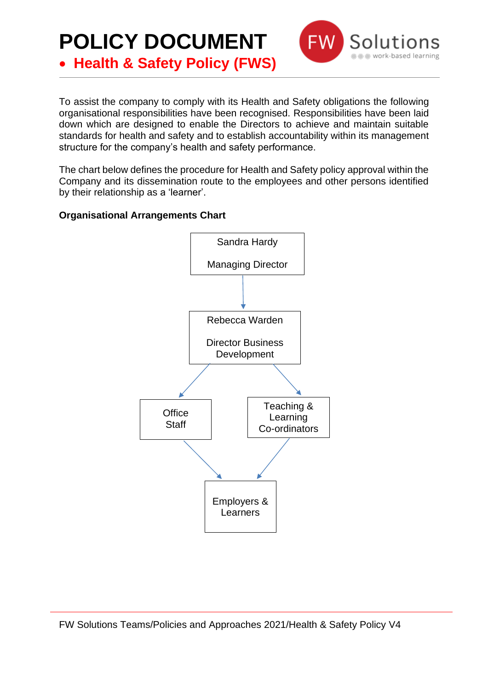To assist the company to comply with its Health and Safety obligations the following organisational responsibilities have been recognised. Responsibilities have been laid down which are designed to enable the Directors to achieve and maintain suitable standards for health and safety and to establish accountability within its management structure for the company's health and safety performance.

انامک

The chart below defines the procedure for Health and Safety policy approval within the Company and its dissemination route to the employees and other persons identified by their relationship as a 'learner'.

## **Organisational Arrangements Chart**

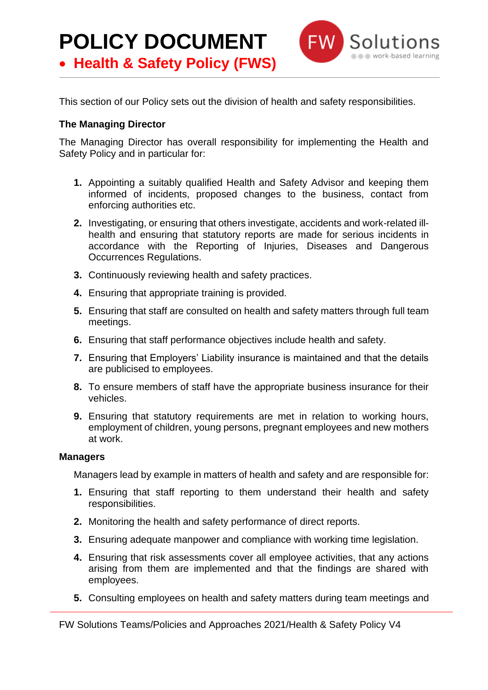

This section of our Policy sets out the division of health and safety responsibilities.

### **The Managing Director**

The Managing Director has overall responsibility for implementing the Health and Safety Policy and in particular for:

- **1.** Appointing a suitably qualified Health and Safety Advisor and keeping them informed of incidents, proposed changes to the business, contact from enforcing authorities etc.
- **2.** Investigating, or ensuring that others investigate, accidents and work-related illhealth and ensuring that statutory reports are made for serious incidents in accordance with the Reporting of Injuries, Diseases and Dangerous Occurrences Regulations.
- **3.** Continuously reviewing health and safety practices.
- **4.** Ensuring that appropriate training is provided.
- **5.** Ensuring that staff are consulted on health and safety matters through full team meetings.
- **6.** Ensuring that staff performance objectives include health and safety.
- **7.** Ensuring that Employers' Liability insurance is maintained and that the details are publicised to employees.
- **8.** To ensure members of staff have the appropriate business insurance for their vehicles.
- **9.** Ensuring that statutory requirements are met in relation to working hours, employment of children, young persons, pregnant employees and new mothers at work.

#### **Managers**

Managers lead by example in matters of health and safety and are responsible for:

- **1.** Ensuring that staff reporting to them understand their health and safety responsibilities.
- **2.** Monitoring the health and safety performance of direct reports.
- **3.** Ensuring adequate manpower and compliance with working time legislation.
- **4.** Ensuring that risk assessments cover all employee activities, that any actions arising from them are implemented and that the findings are shared with employees.
- **5.** Consulting employees on health and safety matters during team meetings and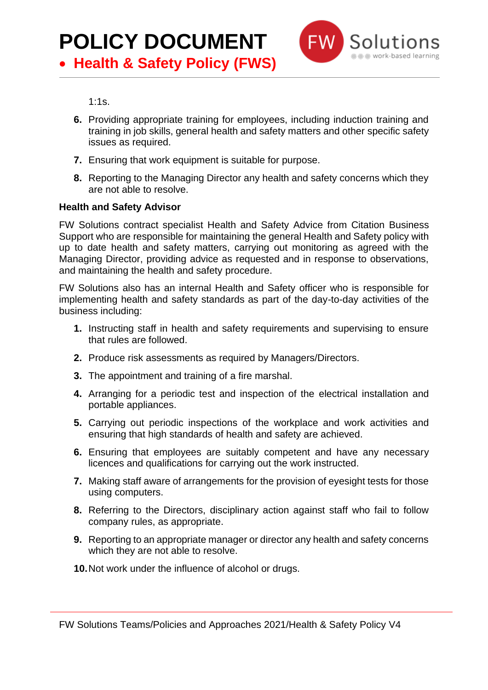

 $1:1s$ .

- **6.** Providing appropriate training for employees, including induction training and training in job skills, general health and safety matters and other specific safety issues as required.
- **7.** Ensuring that work equipment is suitable for purpose.
- **8.** Reporting to the Managing Director any health and safety concerns which they are not able to resolve.

#### **Health and Safety Advisor**

FW Solutions contract specialist Health and Safety Advice from Citation Business Support who are responsible for maintaining the general Health and Safety policy with up to date health and safety matters, carrying out monitoring as agreed with the Managing Director, providing advice as requested and in response to observations, and maintaining the health and safety procedure.

FW Solutions also has an internal Health and Safety officer who is responsible for implementing health and safety standards as part of the day-to-day activities of the business including:

- **1.** Instructing staff in health and safety requirements and supervising to ensure that rules are followed.
- **2.** Produce risk assessments as required by Managers/Directors.
- **3.** The appointment and training of a fire marshal.
- **4.** Arranging for a periodic test and inspection of the electrical installation and portable appliances.
- **5.** Carrying out periodic inspections of the workplace and work activities and ensuring that high standards of health and safety are achieved.
- **6.** Ensuring that employees are suitably competent and have any necessary licences and qualifications for carrying out the work instructed.
- **7.** Making staff aware of arrangements for the provision of eyesight tests for those using computers.
- **8.** Referring to the Directors, disciplinary action against staff who fail to follow company rules, as appropriate.
- **9.** Reporting to an appropriate manager or director any health and safety concerns which they are not able to resolve.
- **10.**Not work under the influence of alcohol or drugs.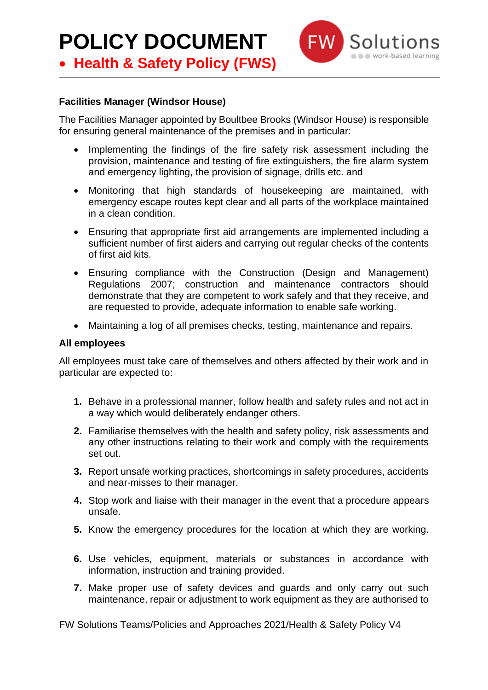**POLICY DOCUMENT**

• **Health & Safety Policy (FWS)**

#### **Facilities Manager (Windsor House)**

The Facilities Manager appointed by Boultbee Brooks (Windsor House) is responsible for ensuring general maintenance of the premises and in particular:

• Implementing the findings of the fire safety risk assessment including the provision, maintenance and testing of fire extinguishers, the fire alarm system and emergency lighting, the provision of signage, drills etc. and

Soluti

- Monitoring that high standards of housekeeping are maintained, with emergency escape routes kept clear and all parts of the workplace maintained in a clean condition.
- Ensuring that appropriate first aid arrangements are implemented including a sufficient number of first aiders and carrying out regular checks of the contents of first aid kits.
- Ensuring compliance with the Construction (Design and Management) Regulations 2007; construction and maintenance contractors should demonstrate that they are competent to work safely and that they receive, and are requested to provide, adequate information to enable safe working.
- Maintaining a log of all premises checks, testing, maintenance and repairs.

#### **All employees**

All employees must take care of themselves and others affected by their work and in particular are expected to:

- **1.** Behave in a professional manner, follow health and safety rules and not act in a way which would deliberately endanger others.
- **2.** Familiarise themselves with the health and safety policy, risk assessments and any other instructions relating to their work and comply with the requirements set out.
- **3.** Report unsafe working practices, shortcomings in safety procedures, accidents and near-misses to their manager.
- **4.** Stop work and liaise with their manager in the event that a procedure appears unsafe.
- **5.** Know the emergency procedures for the location at which they are working.
- **6.** Use vehicles, equipment, materials or substances in accordance with information, instruction and training provided.
- **7.** Make proper use of safety devices and guards and only carry out such maintenance, repair or adjustment to work equipment as they are authorised to